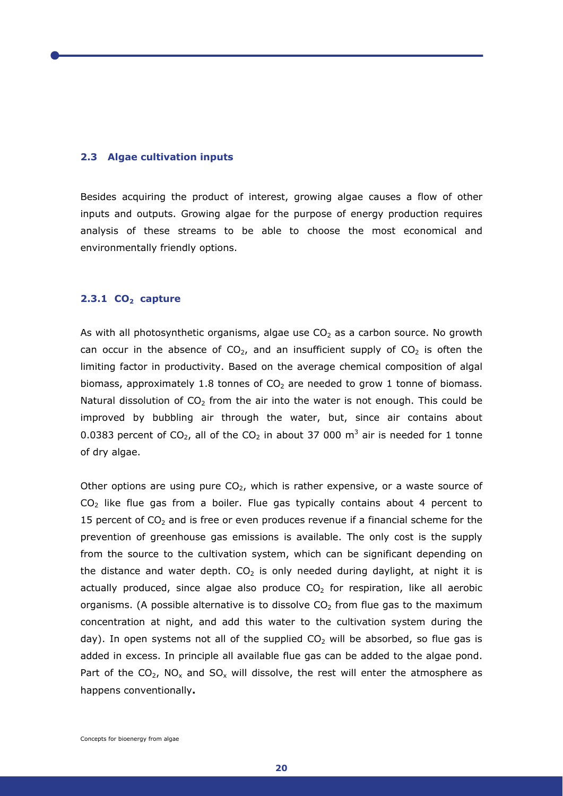#### **2.3 Algae cultivation inputs**

Besides acquiring the product of interest, growing algae causes a flow of other inputs and outputs. Growing algae for the purpose of energy production requires analysis of these streams to be able to choose the most economical and environmentally friendly options.

# **2.3.1 CO<sub>2</sub> capture**

As with all photosynthetic organisms, algae use  $CO<sub>2</sub>$  as a carbon source. No growth can occur in the absence of  $CO<sub>2</sub>$ , and an insufficient supply of  $CO<sub>2</sub>$  is often the limiting factor in productivity. Based on the average chemical composition of algal biomass, approximately 1.8 tonnes of  $CO<sub>2</sub>$  are needed to grow 1 tonne of biomass. Natural dissolution of  $CO<sub>2</sub>$  from the air into the water is not enough. This could be improved by bubbling air through the water, but, since air contains about 0.0383 percent of CO<sub>2</sub>, all of the CO<sub>2</sub> in about 37 000 m<sup>3</sup> air is needed for 1 tonne of dry algae.

Other options are using pure  $CO<sub>2</sub>$ , which is rather expensive, or a waste source of  $CO<sub>2</sub>$  like flue gas from a boiler. Flue gas typically contains about 4 percent to 15 percent of  $CO<sub>2</sub>$  and is free or even produces revenue if a financial scheme for the prevention of greenhouse gas emissions is available. The only cost is the supply from the source to the cultivation system, which can be significant depending on the distance and water depth.  $CO<sub>2</sub>$  is only needed during daylight, at night it is actually produced, since algae also produce  $CO<sub>2</sub>$  for respiration, like all aerobic organisms. (A possible alternative is to dissolve  $CO<sub>2</sub>$  from flue gas to the maximum concentration at night, and add this water to the cultivation system during the day). In open systems not all of the supplied  $CO<sub>2</sub>$  will be absorbed, so flue gas is added in excess. In principle all available flue gas can be added to the algae pond. Part of the  $CO_2$ , NO<sub>x</sub> and SO<sub>x</sub> will dissolve, the rest will enter the atmosphere as happens conventionally**.**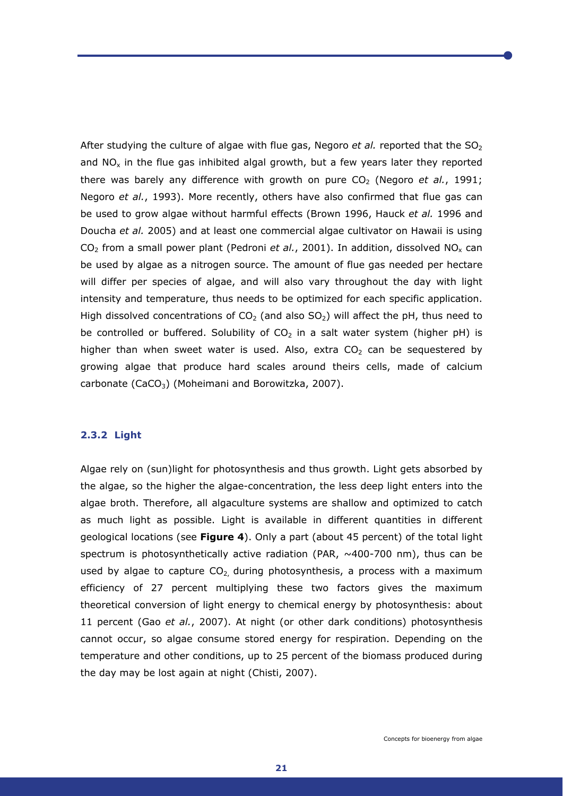After studying the culture of algae with flue gas, Negoro *et al.* reported that the SO<sub>2</sub> and  $NO<sub>x</sub>$  in the flue gas inhibited algal growth, but a few years later they reported there was barely any difference with growth on pure  $CO<sub>2</sub>$  (Negoro *et al.*, 1991; Negoro *et al.*, 1993). More recently, others have also confirmed that flue gas can be used to grow algae without harmful effects (Brown 1996, Hauck *et al.* 1996 and Doucha *et al.* 2005) and at least one commercial algae cultivator on Hawaii is using CO<sub>2</sub> from a small power plant (Pedroni *et al.*, 2001). In addition, dissolved NO<sub>x</sub> can be used by algae as a nitrogen source. The amount of flue gas needed per hectare will differ per species of algae, and will also vary throughout the day with light intensity and temperature, thus needs to be optimized for each specific application. High dissolved concentrations of  $CO<sub>2</sub>$  (and also SO<sub>2</sub>) will affect the pH, thus need to be controlled or buffered. Solubility of  $CO<sub>2</sub>$  in a salt water system (higher pH) is higher than when sweet water is used. Also, extra  $CO<sub>2</sub>$  can be sequestered by growing algae that produce hard scales around theirs cells, made of calcium carbonate (CaCO<sub>3</sub>) (Moheimani and Borowitzka, 2007).

# **2.3.2 Light**

Algae rely on (sun)light for photosynthesis and thus growth. Light gets absorbed by the algae, so the higher the algae-concentration, the less deep light enters into the algae broth. Therefore, all algaculture systems are shallow and optimized to catch as much light as possible. Light is available in different quantities in different geological locations (see **Figure 4**). Only a part (about 45 percent) of the total light spectrum is photosynthetically active radiation (PAR,  $\sim$ 400-700 nm), thus can be used by algae to capture  $CO<sub>2</sub>$ , during photosynthesis, a process with a maximum efficiency of 27 percent multiplying these two factors gives the maximum theoretical conversion of light energy to chemical energy by photosynthesis: about 11 percent (Gao *et al.*, 2007). At night (or other dark conditions) photosynthesis cannot occur, so algae consume stored energy for respiration. Depending on the temperature and other conditions, up to 25 percent of the biomass produced during the day may be lost again at night (Chisti, 2007).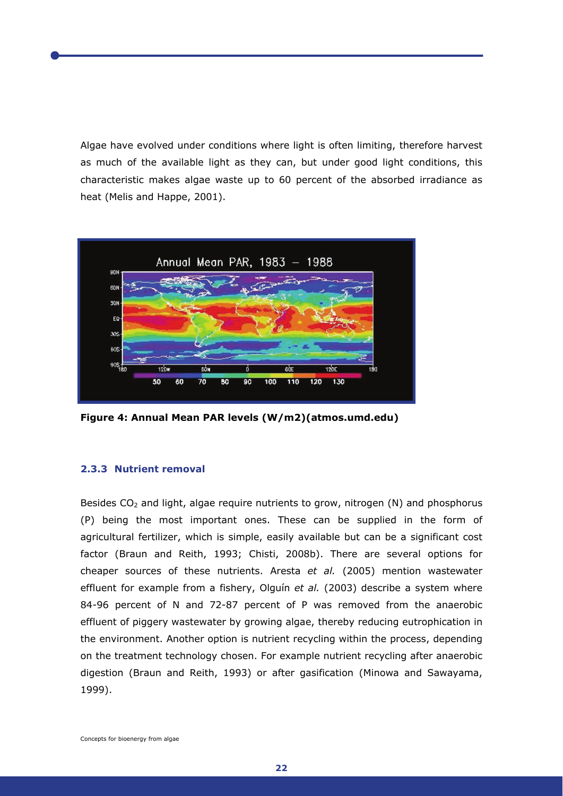Algae have evolved under conditions where light is often limiting, therefore harvest as much of the available light as they can, but under good light conditions, this characteristic makes algae waste up to 60 percent of the absorbed irradiance as heat (Melis and Happe, 2001).



**Figure 4: Annual Mean PAR levels (W/m2)(atmos.umd.edu)** 

## **2.3.3 Nutrient removal**

Besides  $CO<sub>2</sub>$  and light, algae require nutrients to grow, nitrogen (N) and phosphorus (P) being the most important ones. These can be supplied in the form of agricultural fertilizer, which is simple, easily available but can be a significant cost factor (Braun and Reith, 1993; Chisti, 2008b). There are several options for cheaper sources of these nutrients. Aresta *et al.* (2005) mention wastewater effluent for example from a fishery, Olguín *et al.* (2003) describe a system where 84-96 percent of N and 72-87 percent of P was removed from the anaerobic effluent of piggery wastewater by growing algae, thereby reducing eutrophication in the environment. Another option is nutrient recycling within the process, depending on the treatment technology chosen. For example nutrient recycling after anaerobic digestion (Braun and Reith, 1993) or after gasification (Minowa and Sawayama, 1999).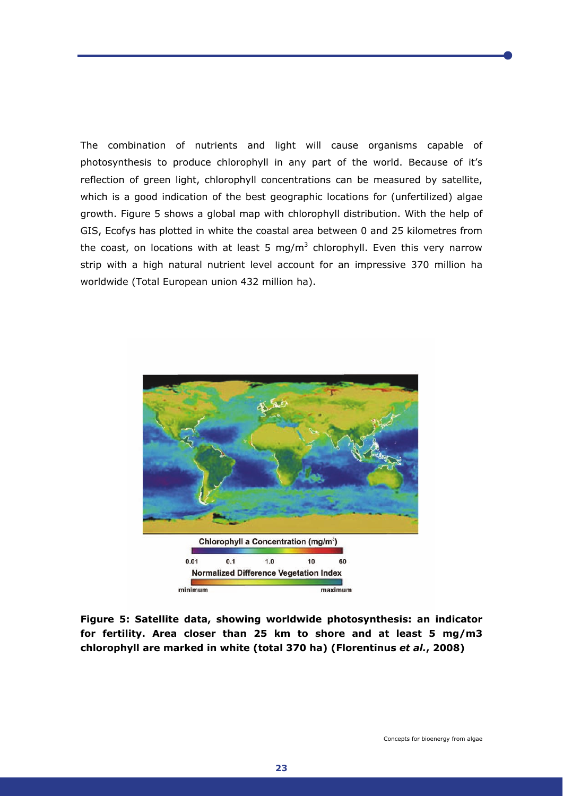The combination of nutrients and light will cause organisms capable of photosynthesis to produce chlorophyll in any part of the world. Because of it's reflection of green light, chlorophyll concentrations can be measured by satellite, which is a good indication of the best geographic locations for (unfertilized) algae growth. Figure 5 shows a global map with chlorophyll distribution. With the help of GIS, Ecofys has plotted in white the coastal area between 0 and 25 kilometres from the coast, on locations with at least 5 mg/m<sup>3</sup> chlorophyll. Even this very narrow strip with a high natural nutrient level account for an impressive 370 million ha worldwide (Total European union 432 million ha).



**Figure 5: Satellite data, showing worldwide photosynthesis: an indicator for fertility. Area closer than 25 km to shore and at least 5 mg/m3 chlorophyll are marked in white (total 370 ha) (Florentinus** *et al.***, 2008)**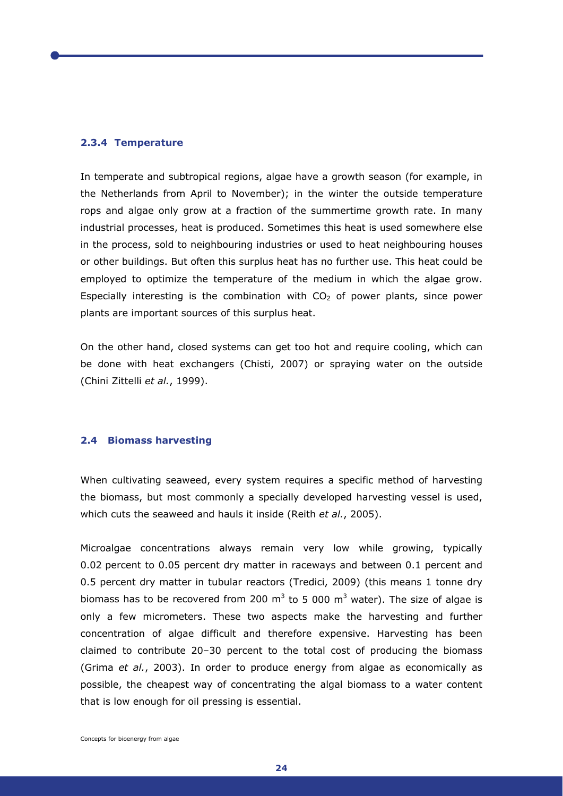## **2.3.4 Temperature**

In temperate and subtropical regions, algae have a growth season (for example, in the Netherlands from April to November); in the winter the outside temperature rops and algae only grow at a fraction of the summertime growth rate. In many industrial processes, heat is produced. Sometimes this heat is used somewhere else in the process, sold to neighbouring industries or used to heat neighbouring houses or other buildings. But often this surplus heat has no further use. This heat could be employed to optimize the temperature of the medium in which the algae grow. Especially interesting is the combination with  $CO<sub>2</sub>$  of power plants, since power plants are important sources of this surplus heat.

On the other hand, closed systems can get too hot and require cooling, which can be done with heat exchangers (Chisti, 2007) or spraying water on the outside (Chini Zittelli *et al.*, 1999).

## **2.4 Biomass harvesting**

When cultivating seaweed, every system requires a specific method of harvesting the biomass, but most commonly a specially developed harvesting vessel is used, which cuts the seaweed and hauls it inside (Reith *et al.*, 2005).

Microalgae concentrations always remain very low while growing, typically 0.02 percent to 0.05 percent dry matter in raceways and between 0.1 percent and 0.5 percent dry matter in tubular reactors (Tredici, 2009) (this means 1 tonne dry biomass has to be recovered from 200  $m^3$  to 5 000  $m^3$  water). The size of algae is only a few micrometers. These two aspects make the harvesting and further concentration of algae difficult and therefore expensive. Harvesting has been claimed to contribute 20–30 percent to the total cost of producing the biomass (Grima *et al.*, 2003). In order to produce energy from algae as economically as possible, the cheapest way of concentrating the algal biomass to a water content that is low enough for oil pressing is essential.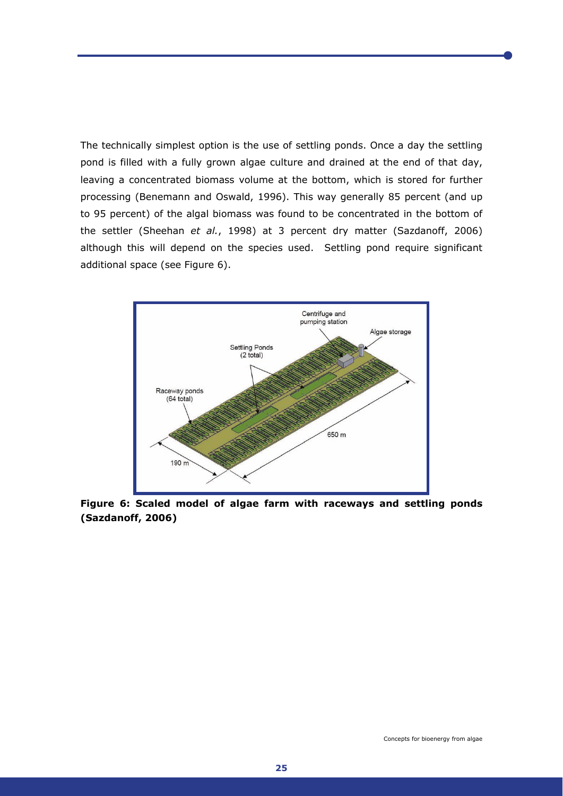The technically simplest option is the use of settling ponds. Once a day the settling pond is filled with a fully grown algae culture and drained at the end of that day, leaving a concentrated biomass volume at the bottom, which is stored for further processing (Benemann and Oswald, 1996). This way generally 85 percent (and up to 95 percent) of the algal biomass was found to be concentrated in the bottom of the settler (Sheehan *et al.*, 1998) at 3 percent dry matter (Sazdanoff, 2006) although this will depend on the species used. Settling pond require significant additional space (see Figure 6).



**Figure 6: Scaled model of algae farm with raceways and settling ponds (Sazdanoff, 2006)**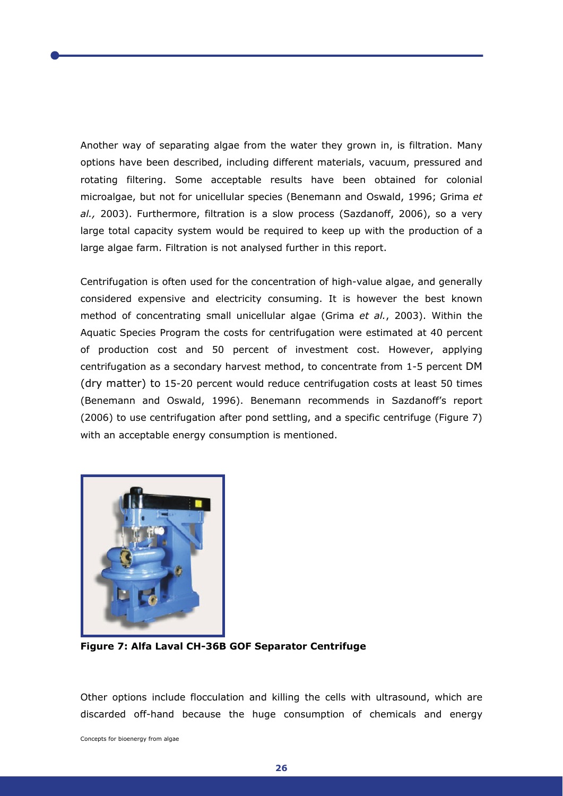Another way of separating algae from the water they grown in, is filtration. Many options have been described, including different materials, vacuum, pressured and rotating filtering. Some acceptable results have been obtained for colonial microalgae, but not for unicellular species (Benemann and Oswald, 1996; Grima *et al.,* 2003). Furthermore, filtration is a slow process (Sazdanoff, 2006), so a very large total capacity system would be required to keep up with the production of a large algae farm. Filtration is not analysed further in this report.

Centrifugation is often used for the concentration of high-value algae, and generally considered expensive and electricity consuming. It is however the best known method of concentrating small unicellular algae (Grima *et al.*, 2003). Within the Aquatic Species Program the costs for centrifugation were estimated at 40 percent of production cost and 50 percent of investment cost. However, applying centrifugation as a secondary harvest method, to concentrate from 1-5 percent DM (dry matter) to 15-20 percent would reduce centrifugation costs at least 50 times (Benemann and Oswald, 1996). Benemann recommends in Sazdanoff's report (2006) to use centrifugation after pond settling, and a specific centrifuge (Figure 7) with an acceptable energy consumption is mentioned.



**Figure 7: Alfa Laval CH-36B GOF Separator Centrifuge** 

Other options include flocculation and killing the cells with ultrasound, which are discarded off-hand because the huge consumption of chemicals and energy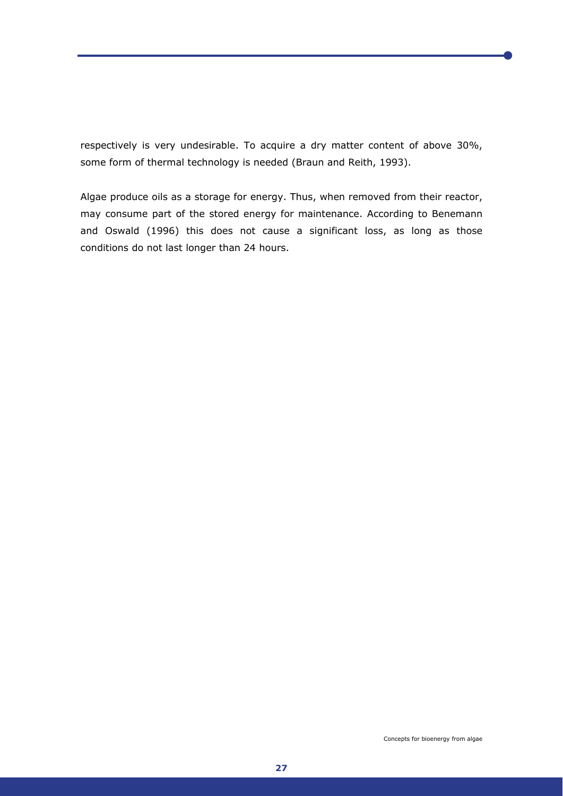respectively is very undesirable. To acquire a dry matter content of above 30%, some form of thermal technology is needed (Braun and Reith, 1993).

Algae produce oils as a storage for energy. Thus, when removed from their reactor, may consume part of the stored energy for maintenance. According to Benemann and Oswald (1996) this does not cause a significant loss, as long as those conditions do not last longer than 24 hours.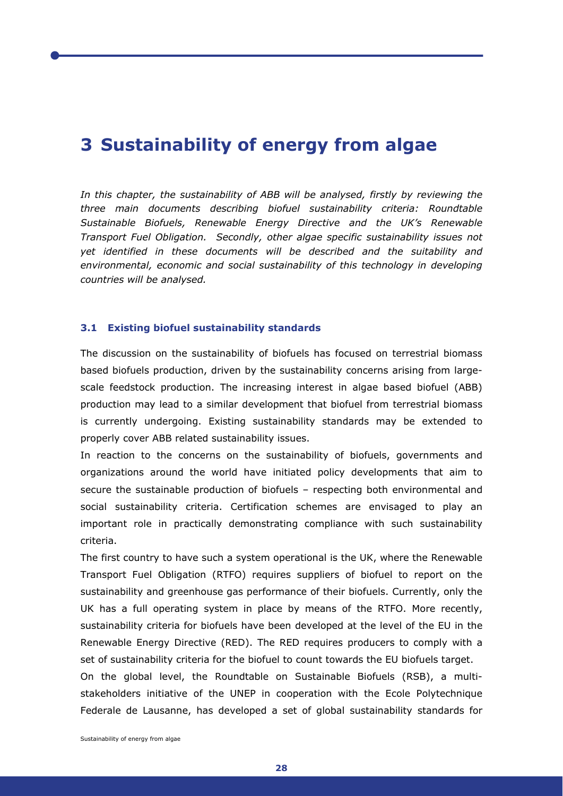# **3 Sustainability of energy from algae**

*In this chapter, the sustainability of ABB will be analysed, firstly by reviewing the three main documents describing biofuel sustainability criteria: Roundtable Sustainable Biofuels, Renewable Energy Directive and the UK's Renewable Transport Fuel Obligation. Secondly, other algae specific sustainability issues not yet identified in these documents will be described and the suitability and environmental, economic and social sustainability of this technology in developing countries will be analysed.* 

#### **3.1 Existing biofuel sustainability standards**

The discussion on the sustainability of biofuels has focused on terrestrial biomass based biofuels production, driven by the sustainability concerns arising from largescale feedstock production. The increasing interest in algae based biofuel (ABB) production may lead to a similar development that biofuel from terrestrial biomass is currently undergoing. Existing sustainability standards may be extended to properly cover ABB related sustainability issues.

In reaction to the concerns on the sustainability of biofuels, governments and organizations around the world have initiated policy developments that aim to secure the sustainable production of biofuels – respecting both environmental and social sustainability criteria. Certification schemes are envisaged to play an important role in practically demonstrating compliance with such sustainability criteria.

The first country to have such a system operational is the UK, where the Renewable Transport Fuel Obligation (RTFO) requires suppliers of biofuel to report on the sustainability and greenhouse gas performance of their biofuels. Currently, only the UK has a full operating system in place by means of the RTFO. More recently, sustainability criteria for biofuels have been developed at the level of the EU in the Renewable Energy Directive (RED). The RED requires producers to comply with a set of sustainability criteria for the biofuel to count towards the EU biofuels target.

On the global level, the Roundtable on Sustainable Biofuels (RSB), a multistakeholders initiative of the UNEP in cooperation with the Ecole Polytechnique Federale de Lausanne, has developed a set of global sustainability standards for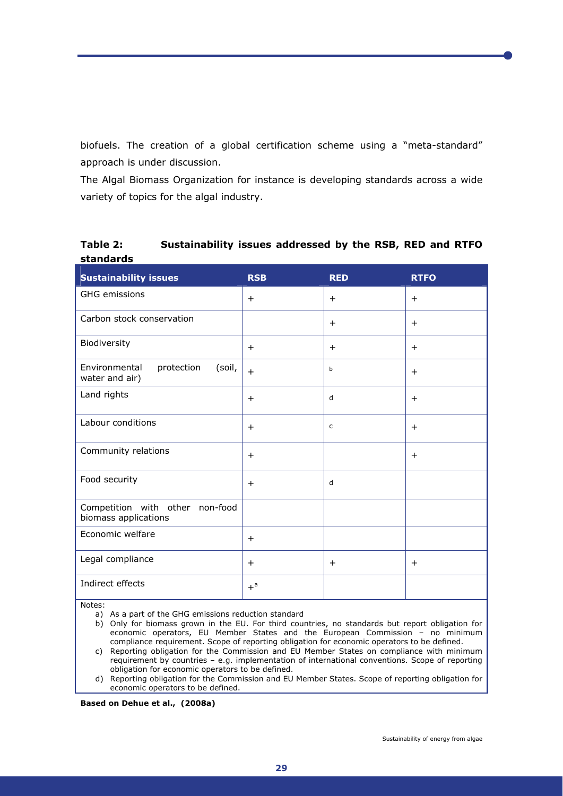biofuels. The creation of a global certification scheme using a "meta-standard" approach is under discussion.

The Algal Biomass Organization for instance is developing standards across a wide variety of topics for the algal industry.

**Table 2: Sustainability issues addressed by the RSB, RED and RTFO standards** 

| <b>Sustainability issues</b>                            | <b>RSB</b>       | <b>RED</b>   | <b>RTFO</b> |
|---------------------------------------------------------|------------------|--------------|-------------|
| GHG emissions                                           | $+$              | $+$          | $+$         |
| Carbon stock conservation                               |                  | $^{+}$       | $^{+}$      |
| Biodiversity                                            | $^{+}$           | $+$          | $^{+}$      |
| Environmental<br>protection<br>(soil,<br>water and air) | $+$              | b            | $^{+}$      |
| Land rights                                             | $\ddot{}$        | d            | $^{+}$      |
| Labour conditions                                       | $\ddot{}$        | $\mathsf{C}$ | $^{+}$      |
| Community relations                                     | $^{+}$           |              | $^{+}$      |
| Food security                                           | $\ddot{}$        | d            |             |
| Competition with other non-food<br>biomass applications |                  |              |             |
| Economic welfare                                        | $^{+}$           |              |             |
| Legal compliance                                        | $^{+}$           | $^{+}$       | $^{+}$      |
| Indirect effects                                        | $+$ <sup>a</sup> |              |             |

Notes:

a) As a part of the GHG emissions reduction standard

- b) Only for biomass grown in the EU. For third countries, no standards but report obligation for economic operators, EU Member States and the European Commission – no minimum compliance requirement. Scope of reporting obligation for economic operators to be defined.
- c) Reporting obligation for the Commission and EU Member States on compliance with minimum requirement by countries – e.g. implementation of international conventions. Scope of reporting obligation for economic operators to be defined.
- d) Reporting obligation for the Commission and EU Member States. Scope of reporting obligation for economic operators to be defined.

**Based on Dehue et al., (2008a)**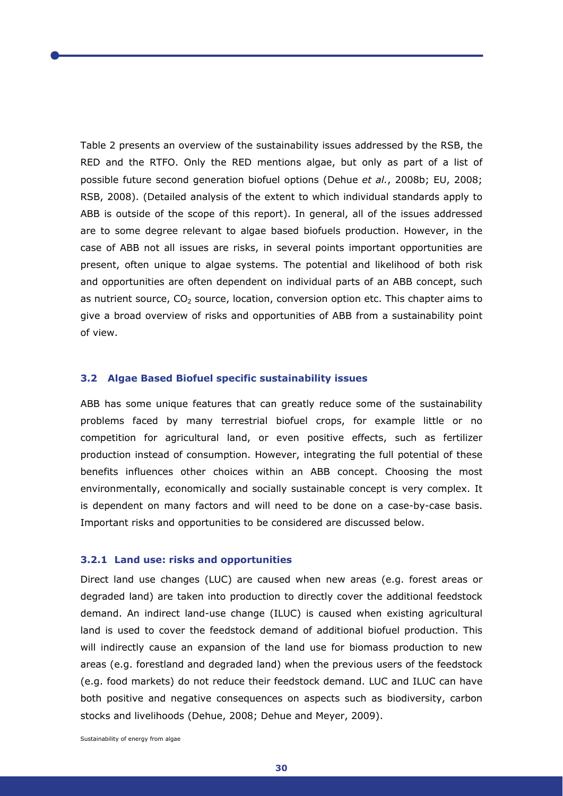Table 2 presents an overview of the sustainability issues addressed by the RSB, the RED and the RTFO. Only the RED mentions algae, but only as part of a list of possible future second generation biofuel options (Dehue *et al.*, 2008b; EU, 2008; RSB, 2008). (Detailed analysis of the extent to which individual standards apply to ABB is outside of the scope of this report). In general, all of the issues addressed are to some degree relevant to algae based biofuels production. However, in the case of ABB not all issues are risks, in several points important opportunities are present, often unique to algae systems. The potential and likelihood of both risk and opportunities are often dependent on individual parts of an ABB concept, such as nutrient source,  $CO<sub>2</sub>$  source, location, conversion option etc. This chapter aims to give a broad overview of risks and opportunities of ABB from a sustainability point of view.

# **3.2 Algae Based Biofuel specific sustainability issues**

ABB has some unique features that can greatly reduce some of the sustainability problems faced by many terrestrial biofuel crops, for example little or no competition for agricultural land, or even positive effects, such as fertilizer production instead of consumption. However, integrating the full potential of these benefits influences other choices within an ABB concept. Choosing the most environmentally, economically and socially sustainable concept is very complex. It is dependent on many factors and will need to be done on a case-by-case basis. Important risks and opportunities to be considered are discussed below.

#### **3.2.1 Land use: risks and opportunities**

Direct land use changes (LUC) are caused when new areas (e.g. forest areas or degraded land) are taken into production to directly cover the additional feedstock demand. An indirect land-use change (ILUC) is caused when existing agricultural land is used to cover the feedstock demand of additional biofuel production. This will indirectly cause an expansion of the land use for biomass production to new areas (e.g. forestland and degraded land) when the previous users of the feedstock (e.g. food markets) do not reduce their feedstock demand. LUC and ILUC can have both positive and negative consequences on aspects such as biodiversity, carbon stocks and livelihoods (Dehue, 2008; Dehue and Meyer, 2009).

Sustainability of energy from algae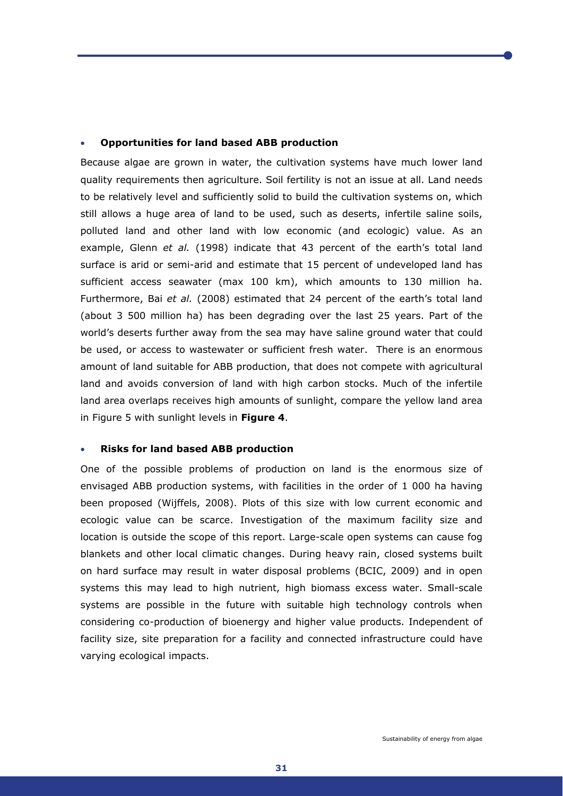#### • **Opportunities for land based ABB production**

Because algae are grown in water, the cultivation systems have much lower land quality requirements then agriculture. Soil fertility is not an issue at all. Land needs to be relatively level and sufficiently solid to build the cultivation systems on, which still allows a huge area of land to be used, such as deserts, infertile saline soils, polluted land and other land with low economic (and ecologic) value. As an example, Glenn *et al.* (1998) indicate that 43 percent of the earth's total land surface is arid or semi-arid and estimate that 15 percent of undeveloped land has sufficient access seawater (max 100 km), which amounts to 130 million ha. Furthermore, Bai *et al.* (2008) estimated that 24 percent of the earth's total land (about 3 500 million ha) has been degrading over the last 25 years. Part of the world's deserts further away from the sea may have saline ground water that could be used, or access to wastewater or sufficient fresh water. There is an enormous amount of land suitable for ABB production, that does not compete with agricultural land and avoids conversion of land with high carbon stocks. Much of the infertile land area overlaps receives high amounts of sunlight, compare the yellow land area in Figure 5 with sunlight levels in **Figure 4**.

#### • **Risks for land based ABB production**

One of the possible problems of production on land is the enormous size of envisaged ABB production systems, with facilities in the order of 1 000 ha having been proposed (Wijffels, 2008). Plots of this size with low current economic and ecologic value can be scarce. Investigation of the maximum facility size and location is outside the scope of this report. Large-scale open systems can cause fog blankets and other local climatic changes. During heavy rain, closed systems built on hard surface may result in water disposal problems (BCIC, 2009) and in open systems this may lead to high nutrient, high biomass excess water. Small-scale systems are possible in the future with suitable high technology controls when considering co-production of bioenergy and higher value products. Independent of facility size, site preparation for a facility and connected infrastructure could have varying ecological impacts.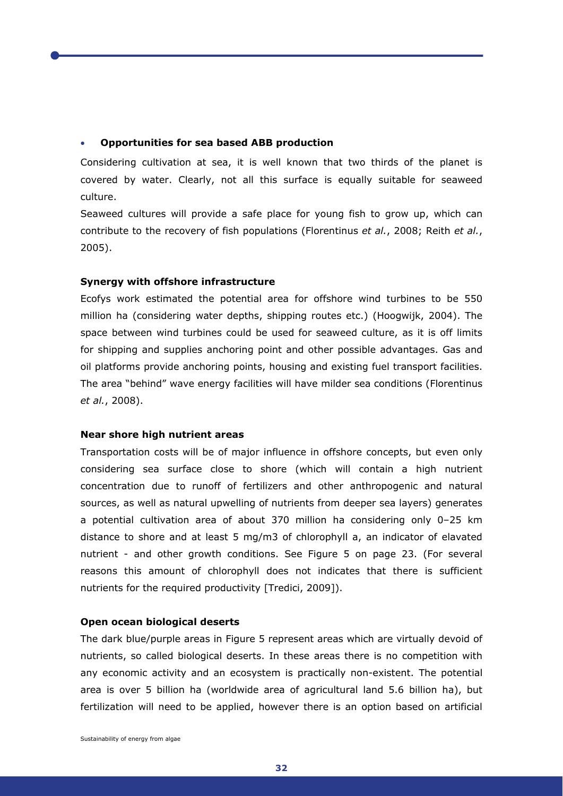#### • **Opportunities for sea based ABB production**

Considering cultivation at sea, it is well known that two thirds of the planet is covered by water. Clearly, not all this surface is equally suitable for seaweed culture.

Seaweed cultures will provide a safe place for young fish to grow up, which can contribute to the recovery of fish populations (Florentinus *et al.*, 2008; Reith *et al.*, 2005).

# **Synergy with offshore infrastructure**

Ecofys work estimated the potential area for offshore wind turbines to be 550 million ha (considering water depths, shipping routes etc.) (Hoogwijk, 2004). The space between wind turbines could be used for seaweed culture, as it is off limits for shipping and supplies anchoring point and other possible advantages. Gas and oil platforms provide anchoring points, housing and existing fuel transport facilities. The area "behind" wave energy facilities will have milder sea conditions (Florentinus *et al.*, 2008).

# **Near shore high nutrient areas**

Transportation costs will be of major influence in offshore concepts, but even only considering sea surface close to shore (which will contain a high nutrient concentration due to runoff of fertilizers and other anthropogenic and natural sources, as well as natural upwelling of nutrients from deeper sea layers) generates a potential cultivation area of about 370 million ha considering only 0–25 km distance to shore and at least 5 mg/m3 of chlorophyll a, an indicator of elavated nutrient - and other growth conditions. See Figure 5 on page 23. (For several reasons this amount of chlorophyll does not indicates that there is sufficient nutrients for the required productivity [Tredici, 2009]).

## **Open ocean biological deserts**

The dark blue/purple areas in Figure 5 represent areas which are virtually devoid of nutrients, so called biological deserts. In these areas there is no competition with any economic activity and an ecosystem is practically non-existent. The potential area is over 5 billion ha (worldwide area of agricultural land 5.6 billion ha), but fertilization will need to be applied, however there is an option based on artificial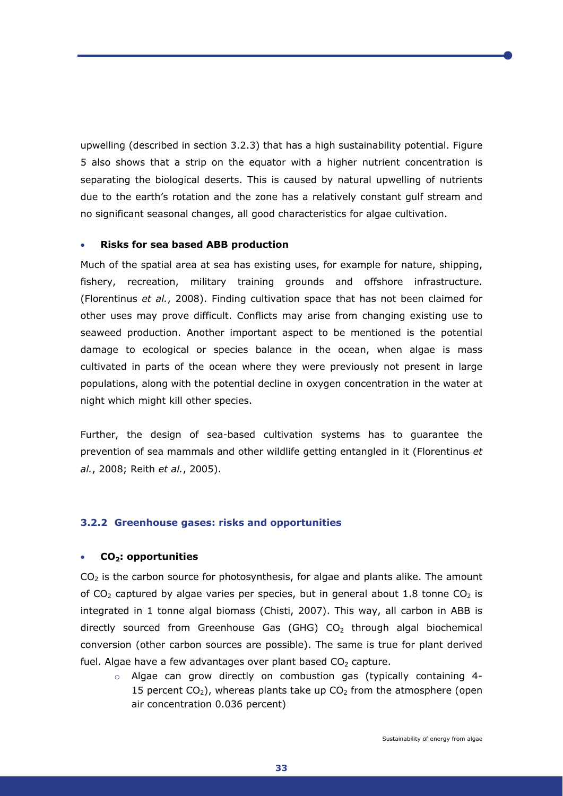upwelling (described in section 3.2.3) that has a high sustainability potential. Figure 5 also shows that a strip on the equator with a higher nutrient concentration is separating the biological deserts. This is caused by natural upwelling of nutrients due to the earth's rotation and the zone has a relatively constant gulf stream and no significant seasonal changes, all good characteristics for algae cultivation.

# • **Risks for sea based ABB production**

Much of the spatial area at sea has existing uses, for example for nature, shipping, fishery, recreation, military training grounds and offshore infrastructure. (Florentinus *et al.*, 2008). Finding cultivation space that has not been claimed for other uses may prove difficult. Conflicts may arise from changing existing use to seaweed production. Another important aspect to be mentioned is the potential damage to ecological or species balance in the ocean, when algae is mass cultivated in parts of the ocean where they were previously not present in large populations, along with the potential decline in oxygen concentration in the water at night which might kill other species.

Further, the design of sea-based cultivation systems has to guarantee the prevention of sea mammals and other wildlife getting entangled in it (Florentinus *et al.*, 2008; Reith *et al.*, 2005).

# **3.2.2 Greenhouse gases: risks and opportunities**

#### • **CO2: opportunities**

 $CO<sub>2</sub>$  is the carbon source for photosynthesis, for algae and plants alike. The amount of CO<sub>2</sub> captured by algae varies per species, but in general about 1.8 tonne CO<sub>2</sub> is integrated in 1 tonne algal biomass (Chisti, 2007). This way, all carbon in ABB is directly sourced from Greenhouse Gas (GHG)  $CO<sub>2</sub>$  through algal biochemical conversion (other carbon sources are possible). The same is true for plant derived fuel. Algae have a few advantages over plant based  $CO<sub>2</sub>$  capture.

 $\circ$  Algae can grow directly on combustion gas (typically containing 4-15 percent  $CO<sub>2</sub>$ ), whereas plants take up  $CO<sub>2</sub>$  from the atmosphere (open air concentration 0.036 percent)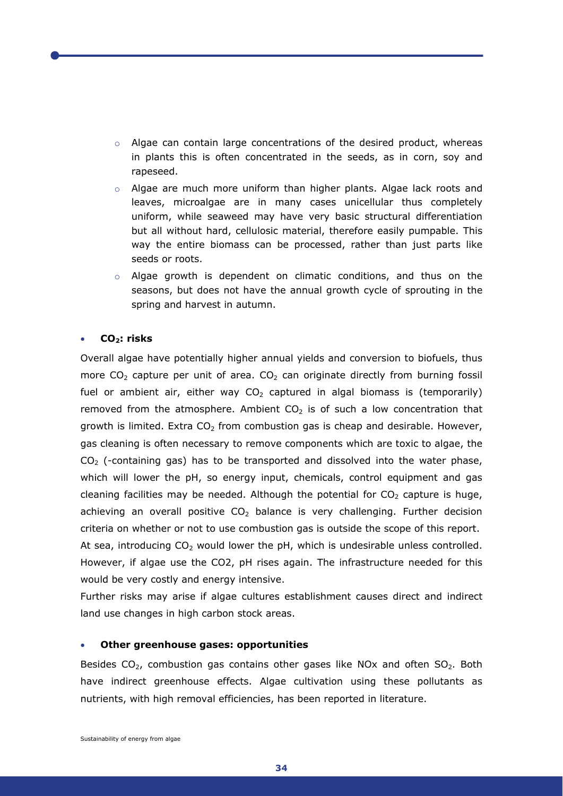- $\circ$  Algae can contain large concentrations of the desired product, whereas in plants this is often concentrated in the seeds, as in corn, soy and rapeseed.
- $\circ$  Algae are much more uniform than higher plants. Algae lack roots and leaves, microalgae are in many cases unicellular thus completely uniform, while seaweed may have very basic structural differentiation but all without hard, cellulosic material, therefore easily pumpable. This way the entire biomass can be processed, rather than just parts like seeds or roots.
- $\circ$  Algae growth is dependent on climatic conditions, and thus on the seasons, but does not have the annual growth cycle of sprouting in the spring and harvest in autumn.

# • **CO2: risks**

Overall algae have potentially higher annual yields and conversion to biofuels, thus more  $CO<sub>2</sub>$  capture per unit of area.  $CO<sub>2</sub>$  can originate directly from burning fossil fuel or ambient air, either way  $CO<sub>2</sub>$  captured in algal biomass is (temporarily) removed from the atmosphere. Ambient  $CO<sub>2</sub>$  is of such a low concentration that growth is limited. Extra  $CO<sub>2</sub>$  from combustion gas is cheap and desirable. However, gas cleaning is often necessary to remove components which are toxic to algae, the  $CO<sub>2</sub>$  (-containing gas) has to be transported and dissolved into the water phase, which will lower the pH, so energy input, chemicals, control equipment and gas cleaning facilities may be needed. Although the potential for  $CO<sub>2</sub>$  capture is huge, achieving an overall positive  $CO<sub>2</sub>$  balance is very challenging. Further decision criteria on whether or not to use combustion gas is outside the scope of this report. At sea, introducing  $CO<sub>2</sub>$  would lower the pH, which is undesirable unless controlled. However, if algae use the CO2, pH rises again. The infrastructure needed for this would be very costly and energy intensive.

Further risks may arise if algae cultures establishment causes direct and indirect land use changes in high carbon stock areas.

#### • **Other greenhouse gases: opportunities**

Besides  $CO<sub>2</sub>$ , combustion gas contains other gases like NOx and often  $SO<sub>2</sub>$ . Both have indirect greenhouse effects. Algae cultivation using these pollutants as nutrients, with high removal efficiencies, has been reported in literature.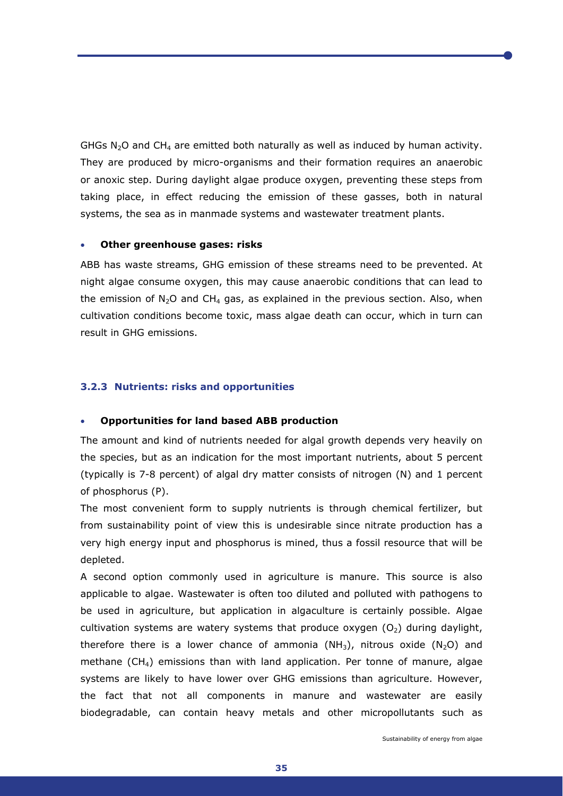GHGs N<sub>2</sub>O and CH<sub>4</sub> are emitted both naturally as well as induced by human activity. They are produced by micro-organisms and their formation requires an anaerobic or anoxic step. During daylight algae produce oxygen, preventing these steps from taking place, in effect reducing the emission of these gasses, both in natural systems, the sea as in manmade systems and wastewater treatment plants.

#### • **Other greenhouse gases: risks**

ABB has waste streams, GHG emission of these streams need to be prevented. At night algae consume oxygen, this may cause anaerobic conditions that can lead to the emission of  $N_2O$  and CH<sub>4</sub> gas, as explained in the previous section. Also, when cultivation conditions become toxic, mass algae death can occur, which in turn can result in GHG emissions.

# **3.2.3 Nutrients: risks and opportunities**

# • **Opportunities for land based ABB production**

The amount and kind of nutrients needed for algal growth depends very heavily on the species, but as an indication for the most important nutrients, about 5 percent (typically is 7-8 percent) of algal dry matter consists of nitrogen (N) and 1 percent of phosphorus (P).

The most convenient form to supply nutrients is through chemical fertilizer, but from sustainability point of view this is undesirable since nitrate production has a very high energy input and phosphorus is mined, thus a fossil resource that will be depleted.

A second option commonly used in agriculture is manure. This source is also applicable to algae. Wastewater is often too diluted and polluted with pathogens to be used in agriculture, but application in algaculture is certainly possible. Algae cultivation systems are watery systems that produce oxygen  $(O_2)$  during daylight, therefore there is a lower chance of ammonia  $(NH_3)$ , nitrous oxide  $(N_2O)$  and methane  $(CH_4)$  emissions than with land application. Per tonne of manure, algae systems are likely to have lower over GHG emissions than agriculture. However, the fact that not all components in manure and wastewater are easily biodegradable, can contain heavy metals and other micropollutants such as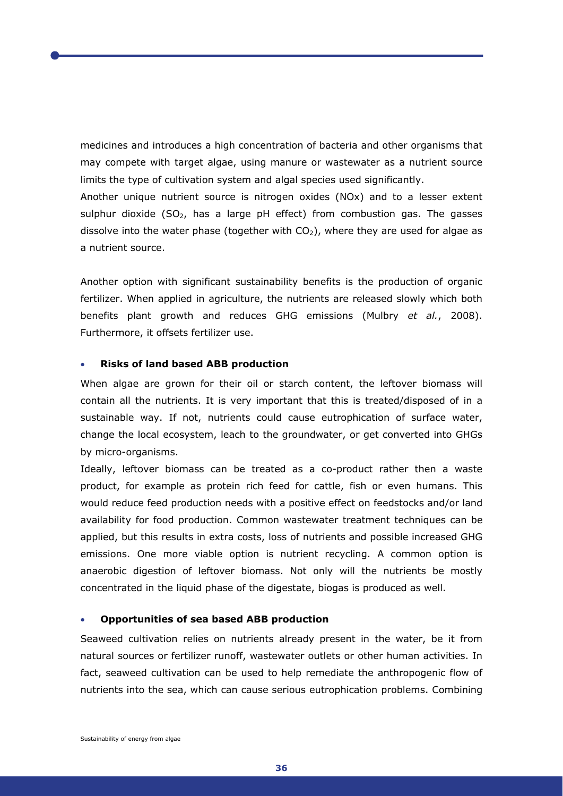medicines and introduces a high concentration of bacteria and other organisms that may compete with target algae, using manure or wastewater as a nutrient source limits the type of cultivation system and algal species used significantly.

Another unique nutrient source is nitrogen oxides (NOx) and to a lesser extent sulphur dioxide (SO<sub>2</sub>, has a large pH effect) from combustion gas. The gasses dissolve into the water phase (together with  $CO<sub>2</sub>$ ), where they are used for algae as a nutrient source.

Another option with significant sustainability benefits is the production of organic fertilizer. When applied in agriculture, the nutrients are released slowly which both benefits plant growth and reduces GHG emissions (Mulbry *et al.*, 2008). Furthermore, it offsets fertilizer use.

# • **Risks of land based ABB production**

When algae are grown for their oil or starch content, the leftover biomass will contain all the nutrients. It is very important that this is treated/disposed of in a sustainable way. If not, nutrients could cause eutrophication of surface water, change the local ecosystem, leach to the groundwater, or get converted into GHGs by micro-organisms.

Ideally, leftover biomass can be treated as a co-product rather then a waste product, for example as protein rich feed for cattle, fish or even humans. This would reduce feed production needs with a positive effect on feedstocks and/or land availability for food production. Common wastewater treatment techniques can be applied, but this results in extra costs, loss of nutrients and possible increased GHG emissions. One more viable option is nutrient recycling. A common option is anaerobic digestion of leftover biomass. Not only will the nutrients be mostly concentrated in the liquid phase of the digestate, biogas is produced as well.

#### • **Opportunities of sea based ABB production**

Seaweed cultivation relies on nutrients already present in the water, be it from natural sources or fertilizer runoff, wastewater outlets or other human activities. In fact, seaweed cultivation can be used to help remediate the anthropogenic flow of nutrients into the sea, which can cause serious eutrophication problems. Combining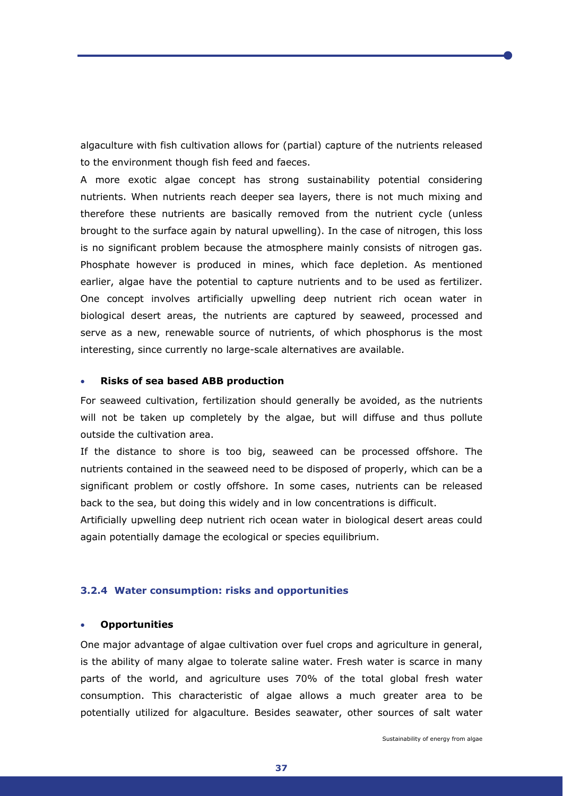algaculture with fish cultivation allows for (partial) capture of the nutrients released to the environment though fish feed and faeces.

A more exotic algae concept has strong sustainability potential considering nutrients. When nutrients reach deeper sea layers, there is not much mixing and therefore these nutrients are basically removed from the nutrient cycle (unless brought to the surface again by natural upwelling). In the case of nitrogen, this loss is no significant problem because the atmosphere mainly consists of nitrogen gas. Phosphate however is produced in mines, which face depletion. As mentioned earlier, algae have the potential to capture nutrients and to be used as fertilizer. One concept involves artificially upwelling deep nutrient rich ocean water in biological desert areas, the nutrients are captured by seaweed, processed and serve as a new, renewable source of nutrients, of which phosphorus is the most interesting, since currently no large-scale alternatives are available.

# • **Risks of sea based ABB production**

For seaweed cultivation, fertilization should generally be avoided, as the nutrients will not be taken up completely by the algae, but will diffuse and thus pollute outside the cultivation area.

If the distance to shore is too big, seaweed can be processed offshore. The nutrients contained in the seaweed need to be disposed of properly, which can be a significant problem or costly offshore. In some cases, nutrients can be released back to the sea, but doing this widely and in low concentrations is difficult.

Artificially upwelling deep nutrient rich ocean water in biological desert areas could again potentially damage the ecological or species equilibrium.

#### **3.2.4 Water consumption: risks and opportunities**

#### • **Opportunities**

One major advantage of algae cultivation over fuel crops and agriculture in general, is the ability of many algae to tolerate saline water. Fresh water is scarce in many parts of the world, and agriculture uses 70% of the total global fresh water consumption. This characteristic of algae allows a much greater area to be potentially utilized for algaculture. Besides seawater, other sources of salt water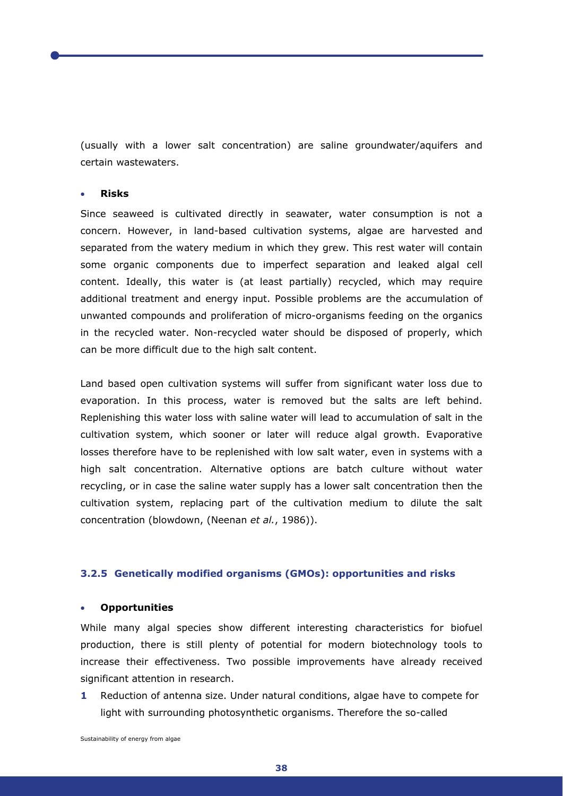(usually with a lower salt concentration) are saline groundwater/aquifers and certain wastewaters.

# • **Risks**

Since seaweed is cultivated directly in seawater, water consumption is not a concern. However, in land-based cultivation systems, algae are harvested and separated from the watery medium in which they grew. This rest water will contain some organic components due to imperfect separation and leaked algal cell content. Ideally, this water is (at least partially) recycled, which may require additional treatment and energy input. Possible problems are the accumulation of unwanted compounds and proliferation of micro-organisms feeding on the organics in the recycled water. Non-recycled water should be disposed of properly, which can be more difficult due to the high salt content.

Land based open cultivation systems will suffer from significant water loss due to evaporation. In this process, water is removed but the salts are left behind. Replenishing this water loss with saline water will lead to accumulation of salt in the cultivation system, which sooner or later will reduce algal growth. Evaporative losses therefore have to be replenished with low salt water, even in systems with a high salt concentration. Alternative options are batch culture without water recycling, or in case the saline water supply has a lower salt concentration then the cultivation system, replacing part of the cultivation medium to dilute the salt concentration (blowdown, (Neenan *et al.*, 1986)).

# **3.2.5 Genetically modified organisms (GMOs): opportunities and risks**

#### • **Opportunities**

While many algal species show different interesting characteristics for biofuel production, there is still plenty of potential for modern biotechnology tools to increase their effectiveness. Two possible improvements have already received significant attention in research.

**1** Reduction of antenna size. Under natural conditions, algae have to compete for light with surrounding photosynthetic organisms. Therefore the so-called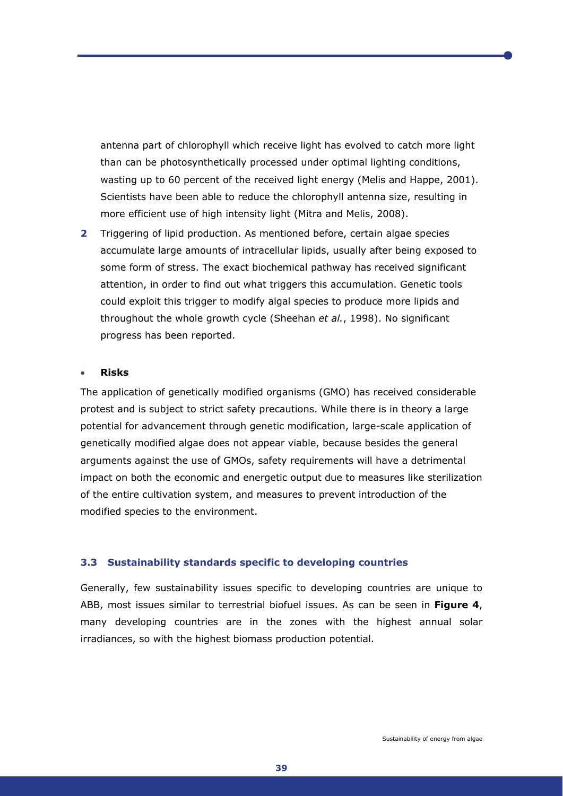antenna part of chlorophyll which receive light has evolved to catch more light than can be photosynthetically processed under optimal lighting conditions, wasting up to 60 percent of the received light energy (Melis and Happe, 2001). Scientists have been able to reduce the chlorophyll antenna size, resulting in more efficient use of high intensity light (Mitra and Melis, 2008).

**2** Triggering of lipid production. As mentioned before, certain algae species accumulate large amounts of intracellular lipids, usually after being exposed to some form of stress. The exact biochemical pathway has received significant attention, in order to find out what triggers this accumulation. Genetic tools could exploit this trigger to modify algal species to produce more lipids and throughout the whole growth cycle (Sheehan *et al.*, 1998). No significant progress has been reported.

# • **Risks**

The application of genetically modified organisms (GMO) has received considerable protest and is subject to strict safety precautions. While there is in theory a large potential for advancement through genetic modification, large-scale application of genetically modified algae does not appear viable, because besides the general arguments against the use of GMOs, safety requirements will have a detrimental impact on both the economic and energetic output due to measures like sterilization of the entire cultivation system, and measures to prevent introduction of the modified species to the environment.

#### **3.3 Sustainability standards specific to developing countries**

Generally, few sustainability issues specific to developing countries are unique to ABB, most issues similar to terrestrial biofuel issues. As can be seen in **Figure 4**, many developing countries are in the zones with the highest annual solar irradiances, so with the highest biomass production potential.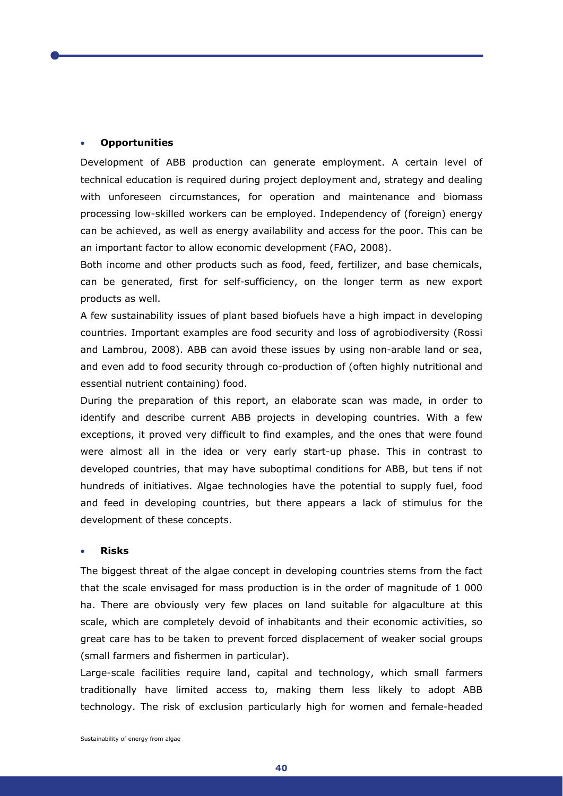## • **Opportunities**

Development of ABB production can generate employment. A certain level of technical education is required during project deployment and, strategy and dealing with unforeseen circumstances, for operation and maintenance and biomass processing low-skilled workers can be employed. Independency of (foreign) energy can be achieved, as well as energy availability and access for the poor. This can be an important factor to allow economic development (FAO, 2008).

Both income and other products such as food, feed, fertilizer, and base chemicals, can be generated, first for self-sufficiency, on the longer term as new export products as well.

A few sustainability issues of plant based biofuels have a high impact in developing countries. Important examples are food security and loss of agrobiodiversity (Rossi and Lambrou, 2008). ABB can avoid these issues by using non-arable land or sea, and even add to food security through co-production of (often highly nutritional and essential nutrient containing) food.

During the preparation of this report, an elaborate scan was made, in order to identify and describe current ABB projects in developing countries. With a few exceptions, it proved very difficult to find examples, and the ones that were found were almost all in the idea or very early start-up phase. This in contrast to developed countries, that may have suboptimal conditions for ABB, but tens if not hundreds of initiatives. Algae technologies have the potential to supply fuel, food and feed in developing countries, but there appears a lack of stimulus for the development of these concepts.

#### • **Risks**

The biggest threat of the algae concept in developing countries stems from the fact that the scale envisaged for mass production is in the order of magnitude of 1 000 ha. There are obviously very few places on land suitable for algaculture at this scale, which are completely devoid of inhabitants and their economic activities, so great care has to be taken to prevent forced displacement of weaker social groups (small farmers and fishermen in particular).

Large-scale facilities require land, capital and technology, which small farmers traditionally have limited access to, making them less likely to adopt ABB technology. The risk of exclusion particularly high for women and female-headed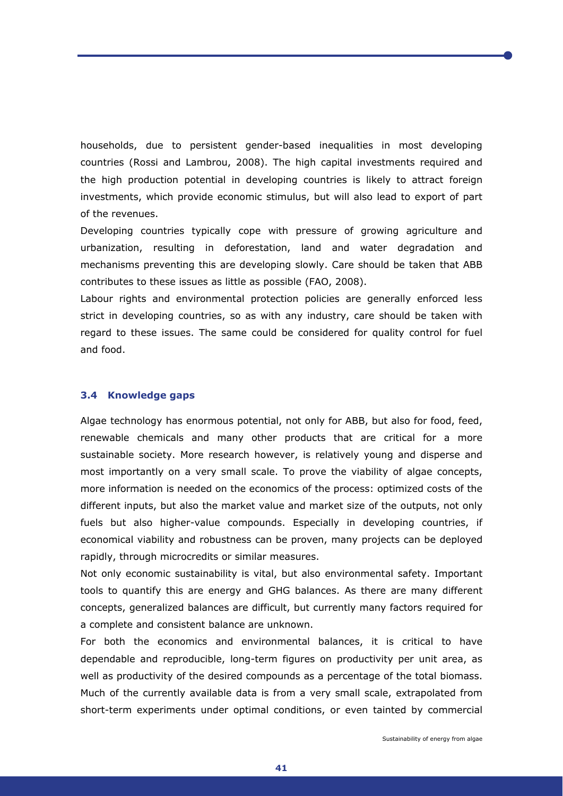households, due to persistent gender-based inequalities in most developing countries (Rossi and Lambrou, 2008). The high capital investments required and the high production potential in developing countries is likely to attract foreign investments, which provide economic stimulus, but will also lead to export of part of the revenues.

Developing countries typically cope with pressure of growing agriculture and urbanization, resulting in deforestation, land and water degradation and mechanisms preventing this are developing slowly. Care should be taken that ABB contributes to these issues as little as possible (FAO, 2008).

Labour rights and environmental protection policies are generally enforced less strict in developing countries, so as with any industry, care should be taken with regard to these issues. The same could be considered for quality control for fuel and food.

# **3.4 Knowledge gaps**

Algae technology has enormous potential, not only for ABB, but also for food, feed, renewable chemicals and many other products that are critical for a more sustainable society. More research however, is relatively young and disperse and most importantly on a very small scale. To prove the viability of algae concepts, more information is needed on the economics of the process: optimized costs of the different inputs, but also the market value and market size of the outputs, not only fuels but also higher-value compounds. Especially in developing countries, if economical viability and robustness can be proven, many projects can be deployed rapidly, through microcredits or similar measures.

Not only economic sustainability is vital, but also environmental safety. Important tools to quantify this are energy and GHG balances. As there are many different concepts, generalized balances are difficult, but currently many factors required for a complete and consistent balance are unknown.

For both the economics and environmental balances, it is critical to have dependable and reproducible, long-term figures on productivity per unit area, as well as productivity of the desired compounds as a percentage of the total biomass. Much of the currently available data is from a very small scale, extrapolated from short-term experiments under optimal conditions, or even tainted by commercial

**41**